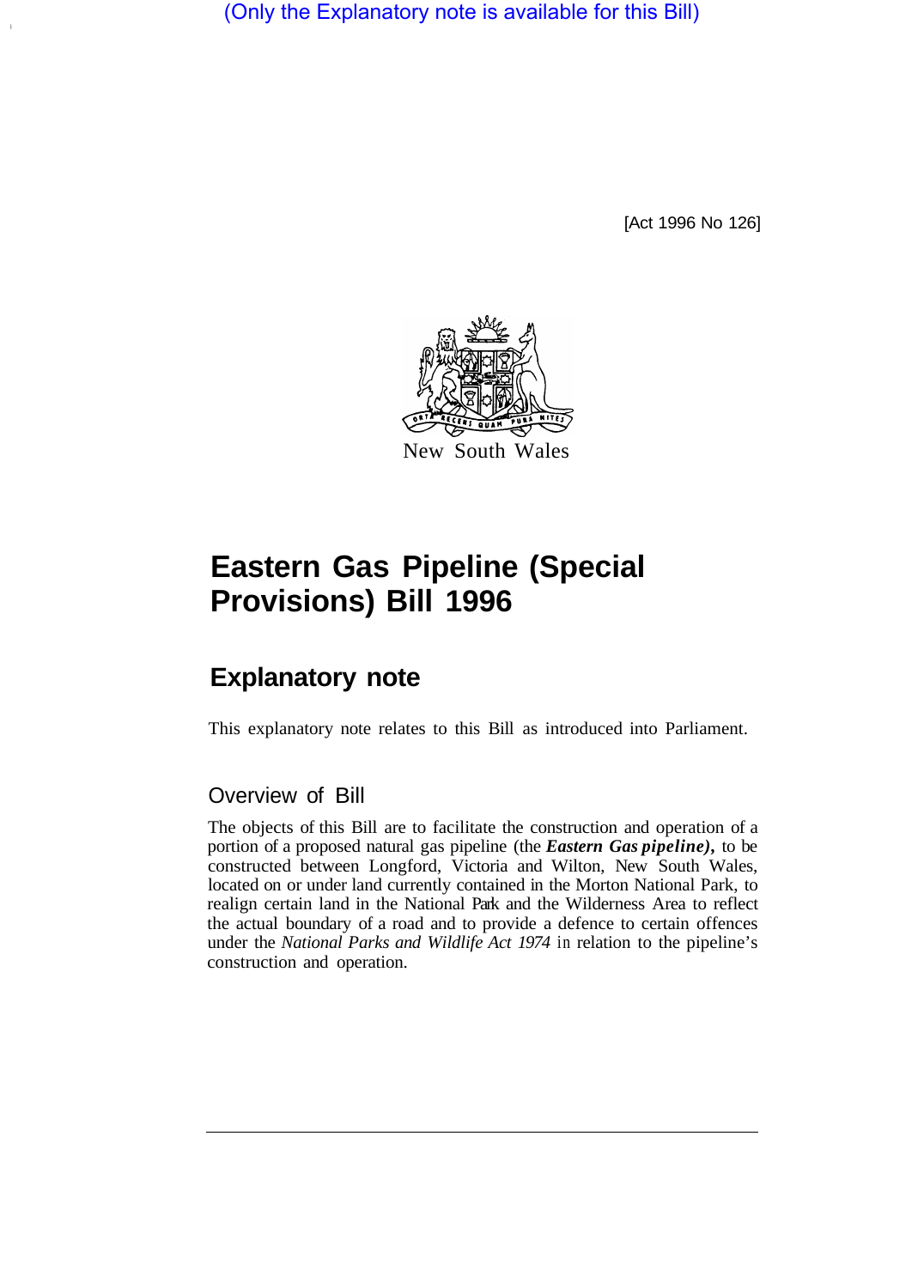(Only the Explanatory note is available for this Bill)

[Act 1996 No 126]



# **Eastern Gas Pipeline (Special Provisions) Bill 1996**

## **Explanatory note**

This explanatory note relates to this Bill as introduced into Parliament.

### Overview of Bill

The objects of this Bill are to facilitate the construction and operation of a portion of a proposed natural gas pipeline (the *Eastern Gas pipeline),* to be constructed between Longford, Victoria and Wilton, New South Wales, located on or under land currently contained in the Morton National Park, to realign certain land in the National Park and the Wilderness Area to reflect the actual boundary of a road and to provide a defence to certain offences under the *National Parks and Wildlife Act 1974* in relation to the pipeline's construction and operation.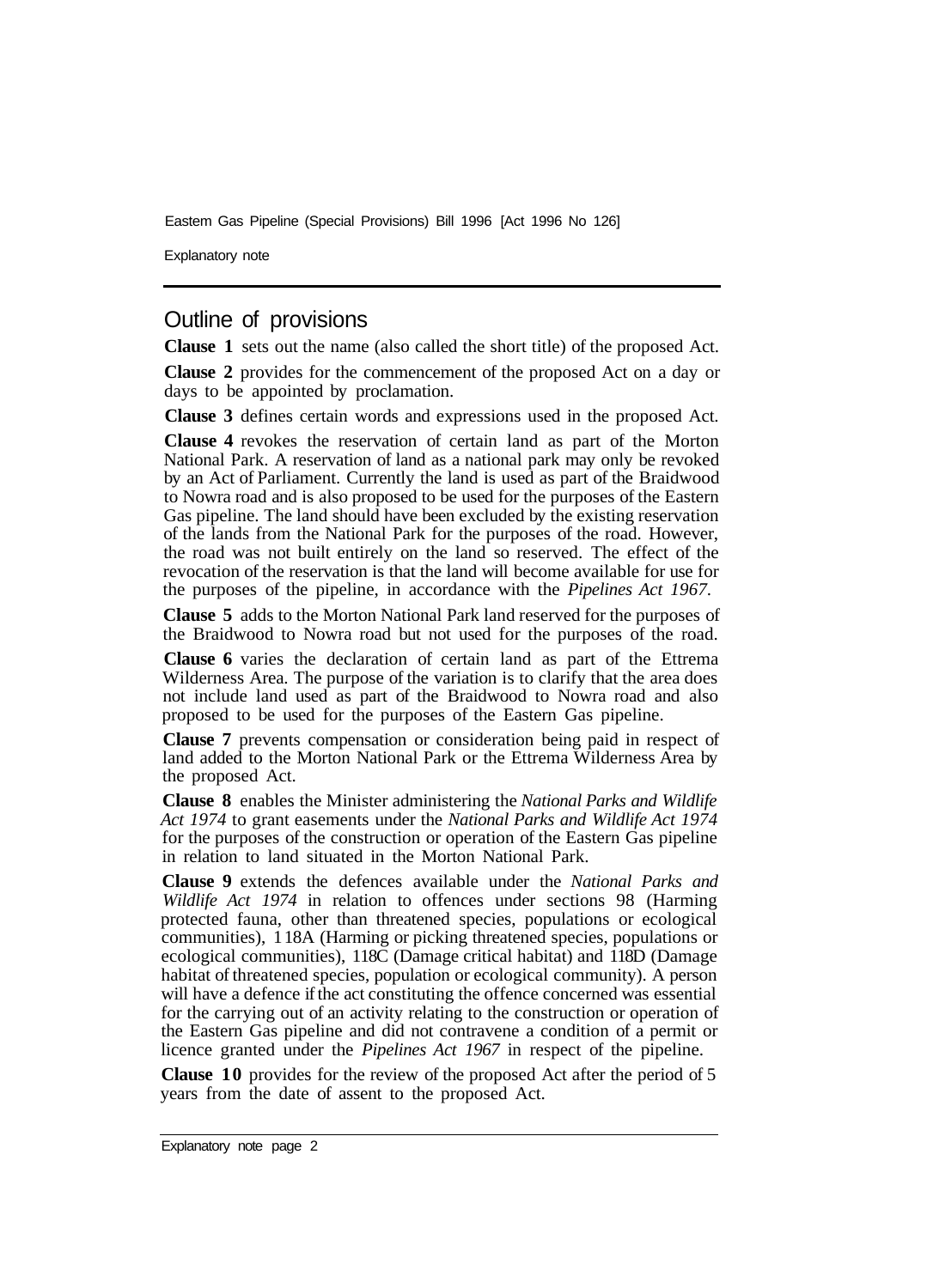Eastem Gas Pipeline (Special Provisions) Bill 1996 [Act 1996 No 126]

Explanatory note

#### Outline of provisions

**Clause 1** sets out the name (also called the short title) of the proposed Act.

**Clause 2** provides for the commencement of the proposed Act on a day or days to be appointed by proclamation.

**Clause 3** defines certain words and expressions used in the proposed Act.

**Clause 4** revokes the reservation of certain land as part of the Morton National Park. A reservation of land as a national park may only be revoked by an Act of Parliament. Currently the land is used as part of the Braidwood to Nowra road and is also proposed to be used for the purposes of the Eastern Gas pipeline. The land should have been excluded by the existing reservation of the lands from the National Park for the purposes of the road. However, the road was not built entirely on the land so reserved. The effect of the revocation of the reservation is that the land will become available for use for the purposes of the pipeline, in accordance with the *Pipelines Act 1967.* 

**Clause 5** adds to the Morton National Park land reserved for the purposes of the Braidwood to Nowra road but not used for the purposes of the road.

**Clause 6** varies the declaration of certain land as part of the Ettrema Wilderness Area. The purpose of the variation is to clarify that the area does not include land used as part of the Braidwood to Nowra road and also proposed to be used for the purposes of the Eastern Gas pipeline.

**Clause 7** prevents compensation or consideration being paid in respect of land added to the Morton National Park or the Ettrema Wilderness Area by the proposed Act.

**Clause 8** enables the Minister administering the *National Parks and Wildlife Act 1974* to grant easements under the *National Parks and Wildlife Act 1974*  for the purposes of the construction or operation of the Eastern Gas pipeline in relation to land situated in the Morton National Park.

**Clause 9** extends the defences available under the *National Parks and Wildlife Act 1974* in relation to offences under sections 98 (Harming protected fauna, other than threatened species, populations or ecological communities), 1 18A (Harming or picking threatened species, populations or ecological communities), 118C (Damage critical habitat) and 118D (Damage habitat of threatened species, population or ecological community). A person will have a defence if the act constituting the offence concerned was essential for the carrying out of an activity relating to the construction or operation of the Eastern Gas pipeline and did not contravene a condition of a permit or licence granted under the *Pipelines Act 1967* in respect of the pipeline.

**Clause 10** provides for the review of the proposed Act after the period of 5 years from the date of assent to the proposed Act.